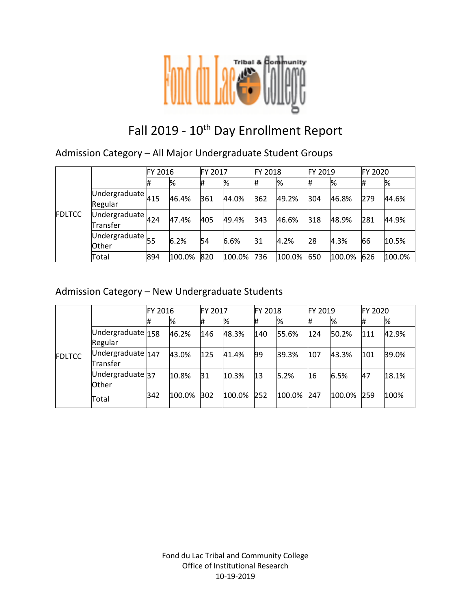

# Fall 2019 - 10<sup>th</sup> Day Enrollment Report

Admission Category – All Major Undergraduate Student Groups

|               |                                                             | FY 2016 |        | <b>FY 2017</b> |        | <b>FY 2018</b> |        | <b>FY 2019</b> |        | <b>FY 2020</b> |        |
|---------------|-------------------------------------------------------------|---------|--------|----------------|--------|----------------|--------|----------------|--------|----------------|--------|
| <b>FDLTCC</b> |                                                             | #       | %      | #              | %      | #              | %      | l#             | %      | #              | %      |
|               | Undergraduate $\mu_{15}$<br>Regular                         |         | 46.4%  | 361            | 44.0%  | 362            | 49.2%  | 304            | 46.8%  | 279            | 44.6%  |
|               | Undergraduate $_{424}$<br>Transfer                          |         | 47.4%  | 405            | 49.4%  | 343            | 46.6%  | 318            | 48.9%  | 281            | 44.9%  |
|               | $\overline{U}$ ndergraduate $\overline{55}$<br><b>Other</b> |         | 6.2%   | 54             | 6.6%   | 31             | 4.2%   | 28             | 4.3%   | 66             | 10.5%  |
|               | Total                                                       | 894     | 100.0% | 820            | 100.0% | 736            | 100.0% | 650            | 100.0% | 626            | 100.0% |

### Admission Category – New Undergraduate Students

|               |                               | FY 2016 |        | FY 2017 |        | <b>FY 2018</b> |        | FY 2019 |        | FY 2020 |       |
|---------------|-------------------------------|---------|--------|---------|--------|----------------|--------|---------|--------|---------|-------|
|               |                               | #       | %      | #       | %      | #              | %      | #       | %      |         | %     |
| <b>FDLTCC</b> | Undergraduate 158<br>Regular  |         | 46.2%  | 146     | 48.3%  | 140            | 55.6%  | 124     | 50.2%  | 111     | 42.9% |
|               | Undergraduate 147<br>Transfer |         | 43.0%  | 125     | 41.4%  | 99             | 39.3%  | 107     | 43.3%  | 101     | 39.0% |
|               | Undergraduate 37<br>Other     |         | 10.8%  | 31      | 10.3%  | 13             | 5.2%   | 16      | 6.5%   | 47      | 18.1% |
|               | Total                         | 342     | 100.0% | 302     | 100.0% | 252            | 100.0% | 247     | 100.0% | 259     | 100%  |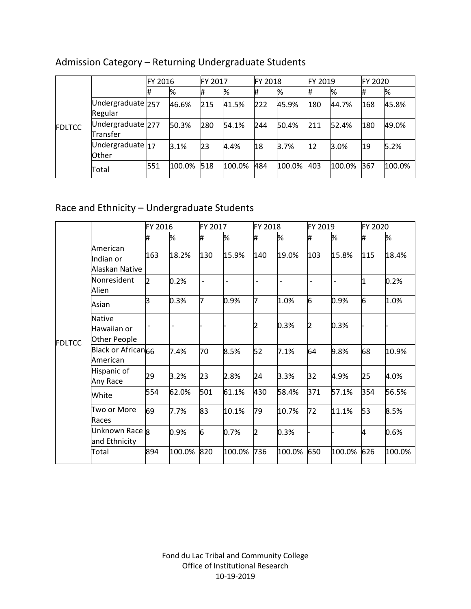|               |                               | FY 2016 |        | FY 2017 |        | <b>FY 2018</b> |        | FY 2019 |        | FY 2020 |        |
|---------------|-------------------------------|---------|--------|---------|--------|----------------|--------|---------|--------|---------|--------|
| <b>FDLTCC</b> |                               | 1#      | %      |         | %      | #              | %      | #       | %      |         | %      |
|               | Undergraduate 257<br>Regular  |         | 46.6%  | 215     | 41.5%  | 222            | 45.9%  | 180     | 44.7%  | 168     | 45.8%  |
|               | Undergraduate 277<br>Transfer |         | 50.3%  | 280     | 54.1%  | 244            | 50.4%  | 211     | 52.4%  | 180     | 49.0%  |
|               | Undergraduate 17<br>Other     |         | 3.1%   | 23      | 4.4%   | 18             | 3.7%   | 12      | 3.0%   | 19      | 5.2%   |
|               | Total                         | 551     | 100.0% | 518     | 100.0% | 484            | 100.0% | 403     | 100.0% | 367     | 100.0% |

# Admission Category – Returning Undergraduate Students

# Race and Ethnicity – Undergraduate Students

|               |                                              | FY 2016        |        | FY 2017           |        | FY 2018        |        | FY 2019 |        | FY 2020 |        |
|---------------|----------------------------------------------|----------------|--------|-------------------|--------|----------------|--------|---------|--------|---------|--------|
| <b>FDLTCC</b> |                                              | #              | %      | #                 | %      | #              | %      | #       | %      | #       | %      |
|               | American<br>Indian or<br>Alaskan Native      | 163            | 18.2%  | 130               | 15.9%  | 140            | 19.0%  | 103     | 15.8%  | 115     | 18.4%  |
|               | Nonresident<br>Alien                         | $\overline{2}$ | 0.2%   | $\qquad \qquad -$ |        |                |        |         |        | 1       | 0.2%   |
|               | Asian                                        | R              | 0.3%   | 7                 | 0.9%   | 7              | 1.0%   | 6       | 0.9%   | 6       | 1.0%   |
|               | <b>Native</b><br>Hawaiian or<br>Other People |                |        |                   |        | 2              | 0.3%   | 2       | 0.3%   |         |        |
|               | Black or African <sub>66</sub><br>American   |                | 7.4%   | 70                | 8.5%   | 52             | 7.1%   | 64      | 9.8%   | 68      | 10.9%  |
|               | Hispanic of<br>Any Race                      | 29             | 3.2%   | 23                | 2.8%   | 24             | 3.3%   | 32      | 4.9%   | 25      | 4.0%   |
|               | White                                        | 554            | 62.0%  | 501               | 61.1%  | 430            | 58.4%  | 371     | 57.1%  | 354     | 56.5%  |
|               | Two or More<br>Races                         | 69             | 7.7%   | 83                | 10.1%  | 79             | 10.7%  | 72      | 11.1%  | 53      | 8.5%   |
|               | Unknown Race 8<br>and Ethnicity              |                | 0.9%   | 6                 | 0.7%   | $\overline{2}$ | 0.3%   |         |        | 4       | 0.6%   |
|               | Total                                        | 894            | 100.0% | 820               | 100.0% | 736            | 100.0% | 650     | 100.0% | 626     | 100.0% |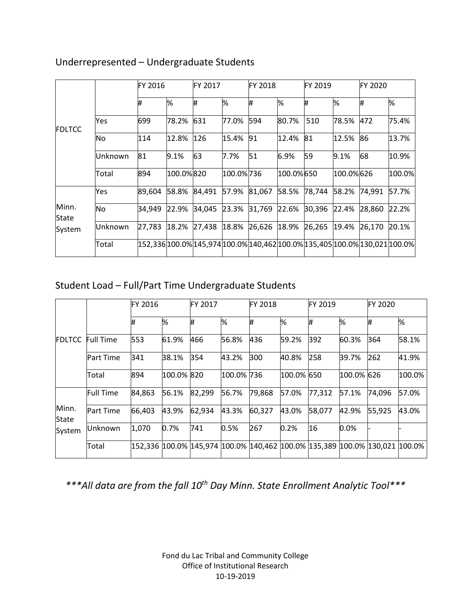|                                 |         |        | <b>FY 2016</b> |        | FY 2017   |                                                                            | <b>FY 2018</b> |        | FY 2019   |        | <b>FY 2020</b> |  |
|---------------------------------|---------|--------|----------------|--------|-----------|----------------------------------------------------------------------------|----------------|--------|-----------|--------|----------------|--|
| <b>FDLTCC</b>                   |         | #      | %              | #      | %         | #                                                                          | %              | Ħ      | %         | Ħ.     | %              |  |
|                                 | Yes     | 699    | 78.2%          | 631    | 77.0%     | 594                                                                        | 80.7%          | 510    | 78.5%     | 472    | 75.4%          |  |
|                                 | No      | 114    | 12.8%          | 126    | 15.4%     | 91                                                                         | 12.4%          | 81     | 12.5%     | 86     | 13.7%          |  |
|                                 | Unknown | 81     | 9.1%           | 63     | 7.7%      | 51                                                                         | 6.9%           | 59     | 9.1%      | 68     | 10.9%          |  |
|                                 | Total   | 894    | 100.0%820      |        | 100.0%736 |                                                                            | 100.0%650      |        | 100.0%626 |        | 100.0%         |  |
|                                 | Yes     | 89,604 | 58.8%          | 84,491 | 57.9%     | 81,067                                                                     | 58.5%          | 78,744 | 58.2%     | 74,991 | 57.7%          |  |
| Minn.<br><b>State</b><br>System | No      | 34,949 | 22.9%          | 34,045 | 23.3%     | 31,769                                                                     | 22.6%          | 30,396 | 22.4%     | 28,860 | 22.2%          |  |
|                                 | Unknown | 27,783 | 18.2%          | 27,438 | 18.8%     | 26,626                                                                     | 18.9%          | 26,265 | 19.4%     | 26.170 | 20.1%          |  |
|                                 | Total   |        |                |        |           | 152,336 100.0% 145,974 100.0% 140,462 100.0% 135,405 100.0% 130,021 100.0% |                |        |           |        |                |  |

### Underrepresented – Undergraduate Students

# Student Load – Full/Part Time Undergraduate Students

|                |                  | FY 2016 |            | FY 2017                                                                             |            | FY 2018 |            |        | FY 2019    |        |        |
|----------------|------------------|---------|------------|-------------------------------------------------------------------------------------|------------|---------|------------|--------|------------|--------|--------|
|                |                  | #       | %          | #                                                                                   | %          | #       | %          | ₩      | %          | Ħ.     | %      |
| <b>FDLTCC</b>  | <b>Full Time</b> | 553     | 61.9%      | 466                                                                                 | 56.8%      | 436     | 59.2%      | 392    | 60.3%      | 364    | 58.1%  |
|                | <b>Part Time</b> | 341     | 38.1%      | 354                                                                                 | 43.2%      | 300     | 40.8%      | 258    | 39.7%      | 262    | 41.9%  |
|                | Total            | 894     | 100.0% 820 |                                                                                     | 100.0% 736 |         | 100.0% 650 |        | 100.0% 626 |        | 100.0% |
|                | <b>Full Time</b> | 84,863  | 56.1%      | 82,299                                                                              | 56.7%      | 79,868  | 57.0%      | 77,312 | 57.1%      | 74,096 | 57.0%  |
| Minn.<br>State | <b>Part Time</b> | 66,403  | 43.9%      | 62,934                                                                              | 43.3%      | 60,327  | 43.0%      | 58,077 | 42.9%      | 55,925 | 43.0%  |
| System         | Unknown          | 1,070   | 0.7%       | 741                                                                                 | 0.5%       | 267     | 0.2%       | 16     | 0.0%       |        |        |
|                | Total            |         |            | 152,336  100.0%  145,974  100.0%  140,462  100.0%  135,389  100.0%  130,021  100.0% |            |         |            |        |            |        |        |

*\*\*\*All data are from the fall 10th Day Minn. State Enrollment Analytic Tool\*\*\**